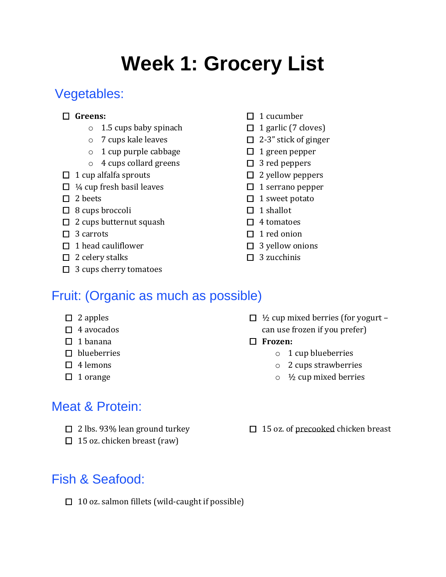# **Week 1: Grocery List**

# Vegetables:

#### **Greens:**

- o 1.5 cups baby spinach
- o 7 cups kale leaves
- o 1 cup purple cabbage
- o 4 cups collard greens
- $\Box$  1 cup alfalfa sprouts
- $\Box$  ¼ cup fresh basil leaves
- $\Box$  2 beets
- $\Box$  8 cups broccoli
- $\Box$  2 cups butternut squash
- $\Box$  3 carrots
- $\Box$  1 head cauliflower
- $\Box$  2 celery stalks
- $\Box$  3 cups cherry tomatoes
- $\Box$  1 cucumber
- $\Box$  1 garlic (7 cloves)
- $\Box$  2-3" stick of ginger
- $\Box$  1 green pepper
- $\square$  3 red peppers
- $\Box$  2 yellow peppers
- $\Box$  1 serrano pepper
- $\Box$  1 sweet potato
- $\Box$  1 shallot
- $\Box$  4 tomatoes
- $\Box$  1 red onion
- $\Box$  3 yellow onions
- $\Box$  3 zucchinis

# Fruit: (Organic as much as possible)

- $\Box$  2 apples
- $\Box$  4 avocados
- $\Box$  1 banana
- $\square$  blueberries
- $\Box$  4 lemons
- $\Box$  1 orange

# Meat & Protein:

- $\Box$  2 lbs. 93% lean ground turkey
- $\Box$  15 oz. chicken breast (raw)

# Fish & Seafood:

- $\Box$  1/2 cup mixed berries (for yogurt can use frozen if you prefer)
- **Frozen:**
	- o 1 cup blueberries
	- o 2 cups strawberries
	- $\circ$  1/<sub>2</sub> cup mixed berries
- □ 15 oz. of precooked chicken breast

 $\Box$  10 oz. salmon fillets (wild-caught if possible)